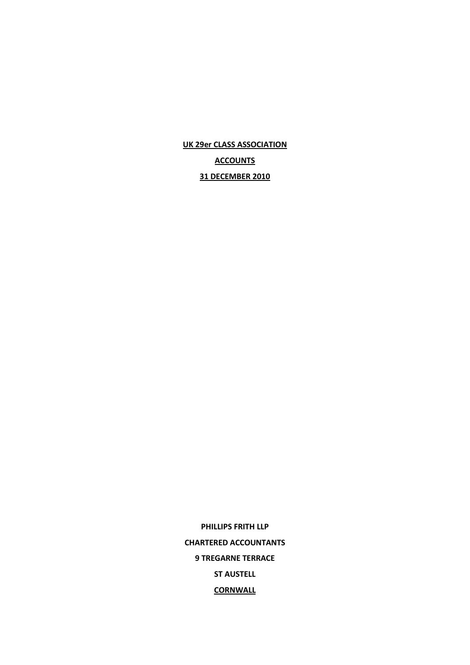**UK 29er CLASS ASSOCIATION**

**ACCOUNTS**

**31 DECEMBER 2010**

**PHILLIPS FRITH LLP CHARTERED ACCOUNTANTS 9 TREGARNE TERRACE ST AUSTELL CORNWALL**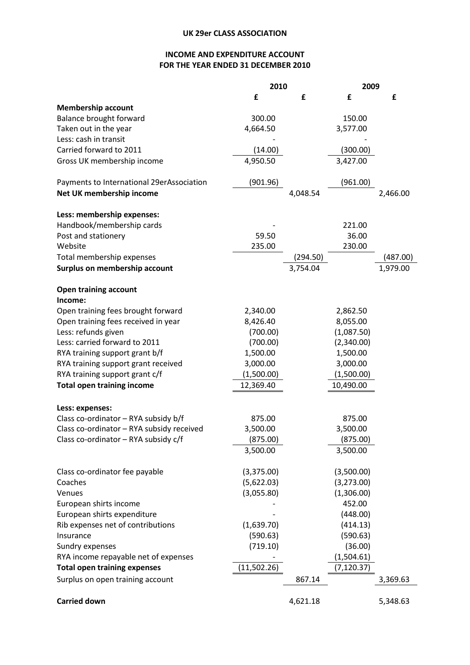## **INCOME AND EXPENDITURE ACCOUNT FOR THE YEAR ENDED 31 DECEMBER 2010**

|                                           | 2010        |          | 2009        |          |
|-------------------------------------------|-------------|----------|-------------|----------|
|                                           | £           | £        | £           | £        |
| <b>Membership account</b>                 |             |          |             |          |
| Balance brought forward                   | 300.00      |          | 150.00      |          |
| Taken out in the year                     | 4,664.50    |          | 3,577.00    |          |
| Less: cash in transit                     |             |          |             |          |
| Carried forward to 2011                   | (14.00)     |          | (300.00)    |          |
| Gross UK membership income                | 4,950.50    |          | 3,427.00    |          |
| Payments to International 29erAssociation | (901.96)    |          | (961.00)    |          |
| Net UK membership income                  |             | 4,048.54 |             | 2,466.00 |
| Less: membership expenses:                |             |          |             |          |
| Handbook/membership cards                 |             |          | 221.00      |          |
| Post and stationery                       | 59.50       |          | 36.00       |          |
| Website                                   | 235.00      |          | 230.00      |          |
| Total membership expenses                 |             | (294.50) |             | (487.00) |
| Surplus on membership account             |             | 3,754.04 |             | 1,979.00 |
| <b>Open training account</b>              |             |          |             |          |
| Income:                                   |             |          |             |          |
| Open training fees brought forward        | 2,340.00    |          | 2,862.50    |          |
| Open training fees received in year       | 8,426.40    |          | 8,055.00    |          |
| Less: refunds given                       | (700.00)    |          | (1,087.50)  |          |
| Less: carried forward to 2011             | (700.00)    |          | (2,340.00)  |          |
| RYA training support grant b/f            | 1,500.00    |          | 1,500.00    |          |
| RYA training support grant received       | 3,000.00    |          | 3,000.00    |          |
| RYA training support grant c/f            | (1,500.00)  |          | (1,500.00)  |          |
| <b>Total open training income</b>         | 12,369.40   |          | 10,490.00   |          |
| Less: expenses:                           |             |          |             |          |
| Class co-ordinator - RYA subsidy b/f      | 875.00      |          | 875.00      |          |
| Class co-ordinator - RYA subsidy received | 3,500.00    |          | 3,500.00    |          |
| Class co-ordinator - RYA subsidy c/f      | (875.00)    |          | (875.00)    |          |
|                                           | 3,500.00    |          | 3,500.00    |          |
| Class co-ordinator fee payable            | (3,375.00)  |          | (3,500.00)  |          |
| Coaches                                   | (5,622.03)  |          | (3,273.00)  |          |
| Venues                                    | (3,055.80)  |          | (1,306.00)  |          |
| European shirts income                    |             |          | 452.00      |          |
| European shirts expenditure               |             |          | (448.00)    |          |
| Rib expenses net of contributions         | (1,639.70)  |          | (414.13)    |          |
| Insurance                                 | (590.63)    |          | (590.63)    |          |
| Sundry expenses                           | (719.10)    |          | (36.00)     |          |
| RYA income repayable net of expenses      |             |          | (1,504.61)  |          |
| <b>Total open training expenses</b>       | (11,502.26) |          | (7, 120.37) |          |
| Surplus on open training account          |             | 867.14   |             | 3,369.63 |
| <b>Carried down</b>                       |             | 4,621.18 |             | 5,348.63 |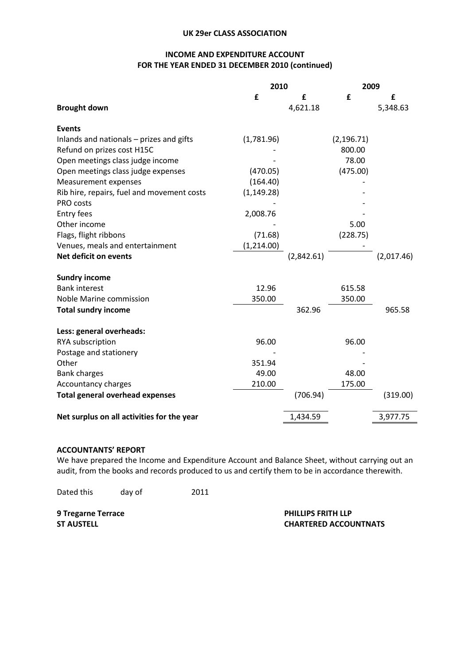### **UK 29er CLASS ASSOCIATION**

## **INCOME AND EXPENDITURE ACCOUNT FOR THE YEAR ENDED 31 DECEMBER 2010 (continued)**

|                                            | 2010        |            | 2009        |            |
|--------------------------------------------|-------------|------------|-------------|------------|
|                                            | £           | £          | £           | £          |
| <b>Brought down</b>                        |             | 4,621.18   |             | 5,348.63   |
| <b>Events</b>                              |             |            |             |            |
| Inlands and nationals - prizes and gifts   | (1,781.96)  |            | (2, 196.71) |            |
| Refund on prizes cost H15C                 |             |            | 800.00      |            |
| Open meetings class judge income           |             |            | 78.00       |            |
| Open meetings class judge expenses         | (470.05)    |            | (475.00)    |            |
| Measurement expenses                       | (164.40)    |            |             |            |
| Rib hire, repairs, fuel and movement costs | (1, 149.28) |            |             |            |
| PRO costs                                  |             |            |             |            |
| <b>Entry fees</b>                          | 2,008.76    |            |             |            |
| Other income                               |             |            | 5.00        |            |
| Flags, flight ribbons                      | (71.68)     |            | (228.75)    |            |
| Venues, meals and entertainment            | (1,214.00)  |            |             |            |
| Net deficit on events                      |             | (2,842.61) |             | (2,017.46) |
| <b>Sundry income</b>                       |             |            |             |            |
| <b>Bank interest</b>                       | 12.96       |            | 615.58      |            |
| Noble Marine commission                    | 350.00      |            | 350.00      |            |
| <b>Total sundry income</b>                 |             | 362.96     |             | 965.58     |
| Less: general overheads:                   |             |            |             |            |
| RYA subscription                           | 96.00       |            | 96.00       |            |
| Postage and stationery                     |             |            |             |            |
| Other                                      | 351.94      |            |             |            |
| <b>Bank charges</b>                        | 49.00       |            | 48.00       |            |
| Accountancy charges                        | 210.00      |            | 175.00      |            |
| <b>Total general overhead expenses</b>     |             | (706.94)   |             | (319.00)   |
| Net surplus on all activities for the year |             | 1,434.59   |             | 3,977.75   |

#### **ACCOUNTANTS' REPORT**

We have prepared the Income and Expenditure Account and Balance Sheet, without carrying out an audit, from the books and records produced to us and certify them to be in accordance therewith.

Dated this day of 2011

**9 Tregarne Terrace PHILLIPS FRITH LLP**

# **ST AUSTELL CHARTERED ACCOUNTNATS**